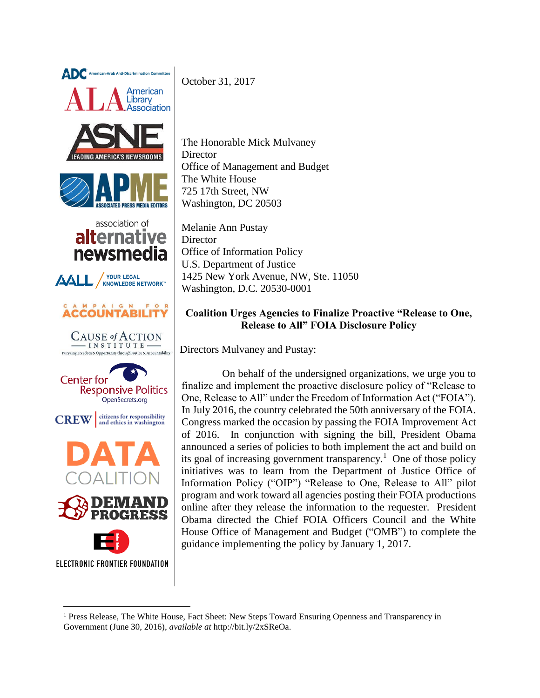

ELECTRONIC FRONTIER FOUNDATION

 $\overline{\phantom{a}}$ 

October 31, 2017

The Honorable Mick Mulvaney **Director** Office of Management and Budget The White House 725 17th Street, NW Washington, DC 20503

Melanie Ann Pustay **Director** Office of Information Policy U.S. Department of Justice 1425 New York Avenue, NW, Ste. 11050 Washington, D.C. 20530-0001

## **Coalition Urges Agencies to Finalize Proactive "Release to One, Release to All" FOIA Disclosure Policy**

Directors Mulvaney and Pustay:

On behalf of the undersigned organizations, we urge you to finalize and implement the proactive disclosure policy of "Release to One, Release to All" under the Freedom of Information Act ("FOIA"). In July 2016, the country celebrated the 50th anniversary of the FOIA. Congress marked the occasion by passing the FOIA Improvement Act of 2016. In conjunction with signing the bill, President Obama announced a series of policies to both implement the act and build on its goal of increasing government transparency.<sup>1</sup> One of those policy initiatives was to learn from the Department of Justice Office of Information Policy ("OIP") "Release to One, Release to All" pilot program and work toward all agencies posting their FOIA productions online after they release the information to the requester. President Obama directed the Chief FOIA Officers Council and the White House Office of Management and Budget ("OMB") to complete the guidance implementing the policy by January 1, 2017.

<sup>&</sup>lt;sup>1</sup> Press Release, The White House, Fact Sheet: New Steps Toward Ensuring Openness and Transparency in Government (June 30, 2016), *available at* http://bit.ly/2xSReOa.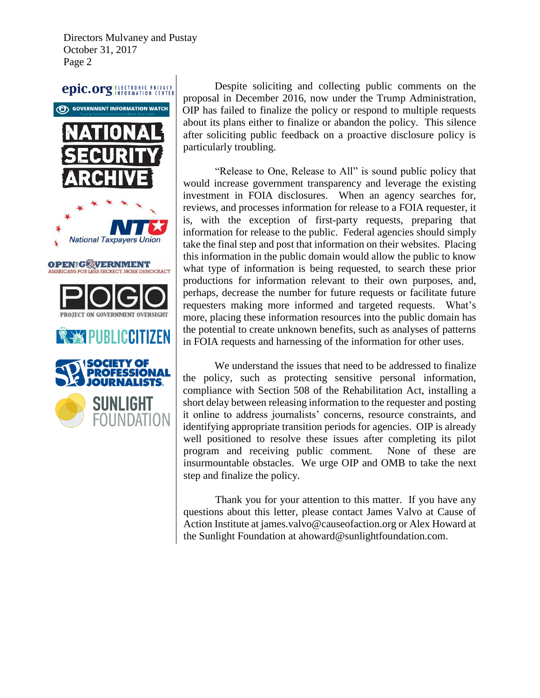Directors Mulvaney and Pustay October 31, 2017 Page 2

## epic.org ELECTRONIC PRIVACY



Despite soliciting and collecting public comments on the proposal in December 2016, now under the Trump Administration, OIP has failed to finalize the policy or respond to multiple requests about its plans either to finalize or abandon the policy. This silence after soliciting public feedback on a proactive disclosure policy is particularly troubling.

"Release to One, Release to All" is sound public policy that would increase government transparency and leverage the existing investment in FOIA disclosures. When an agency searches for, reviews, and processes information for release to a FOIA requester, it is, with the exception of first-party requests, preparing that information for release to the public. Federal agencies should simply take the final step and post that information on their websites. Placing this information in the public domain would allow the public to know what type of information is being requested, to search these prior productions for information relevant to their own purposes, and, perhaps, decrease the number for future requests or facilitate future requesters making more informed and targeted requests. What's more, placing these information resources into the public domain has the potential to create unknown benefits, such as analyses of patterns in FOIA requests and harnessing of the information for other uses.

We understand the issues that need to be addressed to finalize the policy, such as protecting sensitive personal information, compliance with Section 508 of the Rehabilitation Act, installing a short delay between releasing information to the requester and posting it online to address journalists' concerns, resource constraints, and identifying appropriate transition periods for agencies. OIP is already well positioned to resolve these issues after completing its pilot program and receiving public comment. None of these are insurmountable obstacles. We urge OIP and OMB to take the next step and finalize the policy.

Thank you for your attention to this matter. If you have any questions about this letter, please contact James Valvo at Cause of Action Institute at james.valvo@causeofaction.org or Alex Howard at the Sunlight Foundation at ahoward@sunlightfoundation.com.